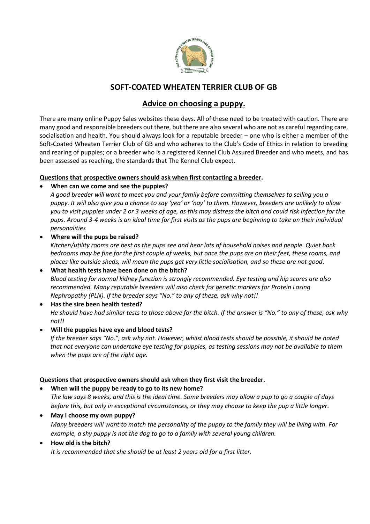

## **SOFT-COATED WHEATEN TERRIER CLUB OF GB**

### **Advice on choosing a puppy.**

There are many online Puppy Sales websites these days. All of these need to be treated with caution. There are many good and responsible breeders out there, but there are also several who are not as careful regarding care, socialisation and health. You should always look for a reputable breeder – one who is either a member of the Soft-Coated Wheaten Terrier Club of GB and who adheres to the Club's Code of Ethics in relation to breeding and rearing of puppies; or a breeder who is a registered Kennel Club Assured Breeder and who meets, and has been assessed as reaching, the standards that The Kennel Club expect.

#### **Questions that prospective owners should ask when first contacting a breeder.**

#### • **When can we come and see the puppies?**

*A good breeder will want to meet you and your family before committing themselves to selling you a puppy. It will also give you a chance to say 'yea' or 'nay' to them. However, breeders are unlikely to allow you to visit puppies under 2 or 3 weeks of age, as this may distress the bitch and could risk infection for the pups. Around 3-4 weeks is an ideal time for first visits as the pups are beginning to take on their individual personalities*

#### • **Where will the pups be raised?**

*Kitchen/utility rooms are best as the pups see and hear lots of household noises and people. Quiet back bedrooms may be fine for the first couple of weeks, but once the pups are on their feet, these rooms, and places like outside sheds, will mean the pups get very little socialisation, and so these are not good*.

- **What health tests have been done on the bitch?** *Blood testing for normal kidney function is strongly recommended. Eye testing and hip scores are also recommended. Many reputable breeders will also check for genetic markers for Protein Losing Nephropathy (PLN). If the breeder says "No." to any of these, ask why not!!*
- **Has the sire been health tested?** *He should have had similar tests to those above for the bitch. If the answer is "No." to any of these, ask why not!!*
- **Will the puppies have eye and blood tests?**

*If the breeder says "No.", ask why not. However, whilst blood tests should be possible, it should be noted that not everyone can undertake eye testing for puppies, as testing sessions may not be available to them when the pups are of the right age.*

#### **Questions that prospective owners should ask when they first visit the breeder.**

#### • **When will the puppy be ready to go to its new home?**

*The law says 8 weeks, and this is the ideal time. Some breeders may allow a pup to go a couple of days before this, but only in exceptional circumstances, or they may choose to keep the pup a little longer.*

- **May I choose my own puppy?** *Many breeders will want to match the personality of the puppy to the family they will be living with. For example, a shy puppy is not the dog to go to a family with several young children.*
- **How old is the bitch?**

*It is recommended that she should be at least 2 years old for a first litter.*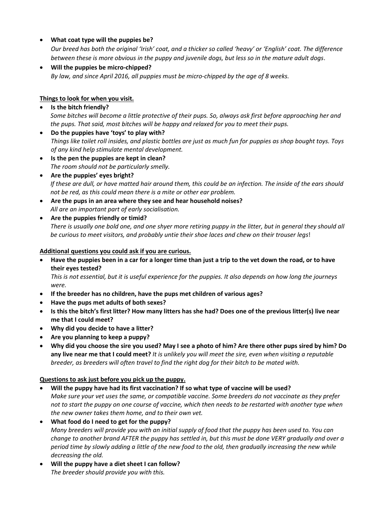#### • **What coat type will the puppies be?**

*Our breed has both the original 'Irish' coat, and a thicker so called 'heavy' or 'English' coat. The difference between these is more obvious in the puppy and juvenile dogs, but less so in the mature adult dogs*.

• **Will the puppies be micro-chipped?** *By law, and since April 2016, all puppies must be micro-chipped by the age of 8 weeks.*

#### **Things to look for when you visit.**

- **Is the bitch friendly?** *Some bitches will become a little protective of their pups. So, always ask first before approaching her and the pups. That said, most bitches will be happy and relaxed for you to meet their pups.*
- **Do the puppies have 'toys' to play with?** *Things like toilet roll insides, and plastic bottles are just as much fun for puppies as shop bought toys. Toys of any kind help stimulate mental development.*
- **Is the pen the puppies are kept in clean?** *The room should not be particularly smelly.*
- **Are the puppies' eyes bright?** *If these are dull, or have matted hair around them, this could be an infection. The inside of the ears should not be red, as this could mean there is a mite or other ear problem.*
- **Are the pups in an area where they see and hear household noises?** *All are an important part of early socialisation.*
- **Are the puppies friendly or timid?** *There is usually one bold one, and one shyer more retiring puppy in the litter, but in general they should all be curious to meet visitors, and probably untie their shoe laces and chew on their trouser legs*!

#### **Additional questions you could ask if you are curious.**

• **Have the puppies been in a car for a longer time than just a trip to the vet down the road, or to have their eyes tested?**

*This is not essential, but it is useful experience for the puppies. It also depends on how long the journeys were.*

- **If the breeder has no children, have the pups met children of various ages?**
- **Have the pups met adults of both sexes?**
- **Is this the bitch's first litter? How many litters has she had? Does one of the previous litter(s) live near me that I could meet?**
- **Why did you decide to have a litter?**
- **Are you planning to keep a puppy?**
- **Why did you choose the sire you used? May I see a photo of him? Are there other pups sired by him? Do any live near me that I could meet?** *It is unlikely you will meet the sire, even when visiting a reputable breeder, as breeders will often travel to find the right dog for their bitch to be mated with.*

#### **Questions to ask just before you pick up the puppy.**

- **Will the puppy have had its first vaccination? If so what type of vaccine will be used?**  *Make sure your vet uses the same, or compatible vaccine. Some breeders do not vaccinate as they prefer not to start the puppy on one course of vaccine, which then needs to be restarted with another type when the new owner takes them home, and to their own vet.*
- **What food do I need to get for the puppy?** *Many breeders will provide you with an initial supply of food that the puppy has been used to. You can change to another brand AFTER the puppy has settled in, but this must be done VERY gradually and over a period time by slowly adding a little of the new food to the old, then gradually increasing the new while decreasing the old.*
- **Will the puppy have a diet sheet I can follow?** *The breeder should provide you with this.*